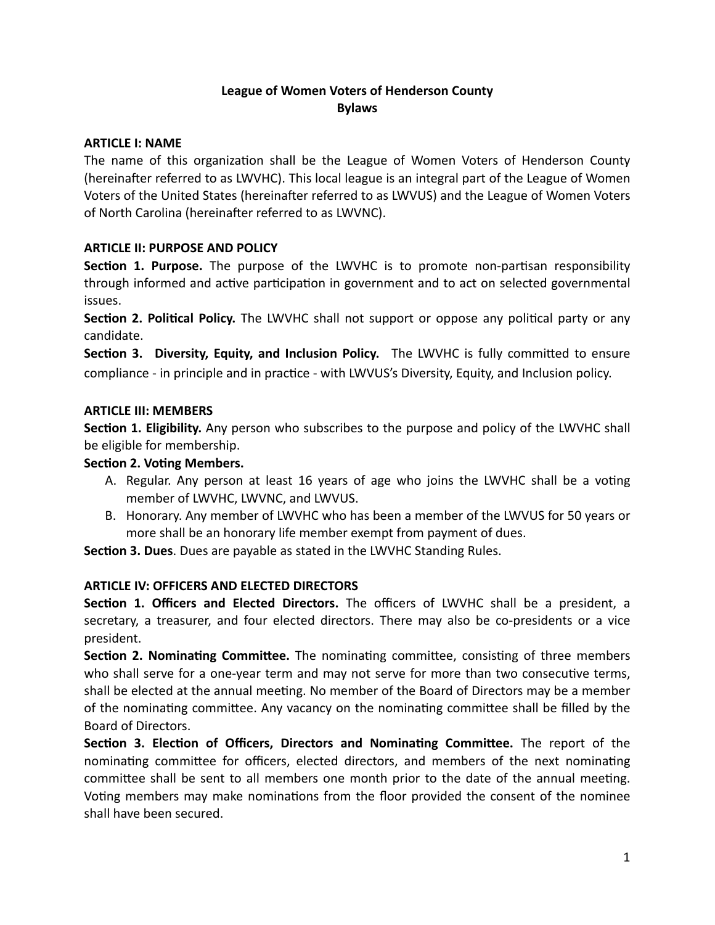# **League of Women Voters of Henderson County Bylaws**

#### **ARTICLE I: NAME**

The name of this organization shall be the League of Women Voters of Henderson County (hereinafter referred to as LWVHC). This local league is an integral part of the League of Women Voters of the United States (hereinafter referred to as LWVUS) and the League of Women Voters of North Carolina (hereinafter referred to as LWVNC).

## **ARTICLE II: PURPOSE AND POLICY**

**Section 1. Purpose.** The purpose of the LWVHC is to promote non-partisan responsibility through informed and active participation in government and to act on selected governmental issues.

**Section 2. Political Policy.** The LWVHC shall not support or oppose any political party or any candidate.

**Section 3. Diversity, Equity, and Inclusion Policy.** The LWVHC is fully committed to ensure compliance - in principle and in practice - with LWVUS's Diversity, Equity, and Inclusion policy.

#### **ARTICLE III: MEMBERS**

**Section 1. Eligibility.** Any person who subscribes to the purpose and policy of the LWVHC shall be eligible for membership.

#### **Section 2. Voting Members.**

- A. Regular. Any person at least 16 years of age who joins the LWVHC shall be a voting member of LWVHC, LWVNC, and LWVUS.
- B. Honorary. Any member of LWVHC who has been a member of the LWVUS for 50 years or more shall be an honorary life member exempt from payment of dues.

**Section 3. Dues**. Dues are payable as stated in the LWVHC Standing Rules.

#### **ARTICLE IV: OFFICERS AND ELECTED DIRECTORS**

**Section 1. Officers and Elected Directors.** The officers of LWVHC shall be a president, a secretary, a treasurer, and four elected directors. There may also be co-presidents or a vice president.

**Section 2. Nominating Committee.** The nominating committee, consisting of three members who shall serve for a one-year term and may not serve for more than two consecutive terms, shall be elected at the annual meeting. No member of the Board of Directors may be a member of the nominating committee. Any vacancy on the nominating committee shall be filled by the Board of Directors.

**Section 3. Election of Officers, Directors and Nominating Committee.** The report of the nominating committee for officers, elected directors, and members of the next nominating committee shall be sent to all members one month prior to the date of the annual meeting. Voting members may make nominations from the floor provided the consent of the nominee shall have been secured.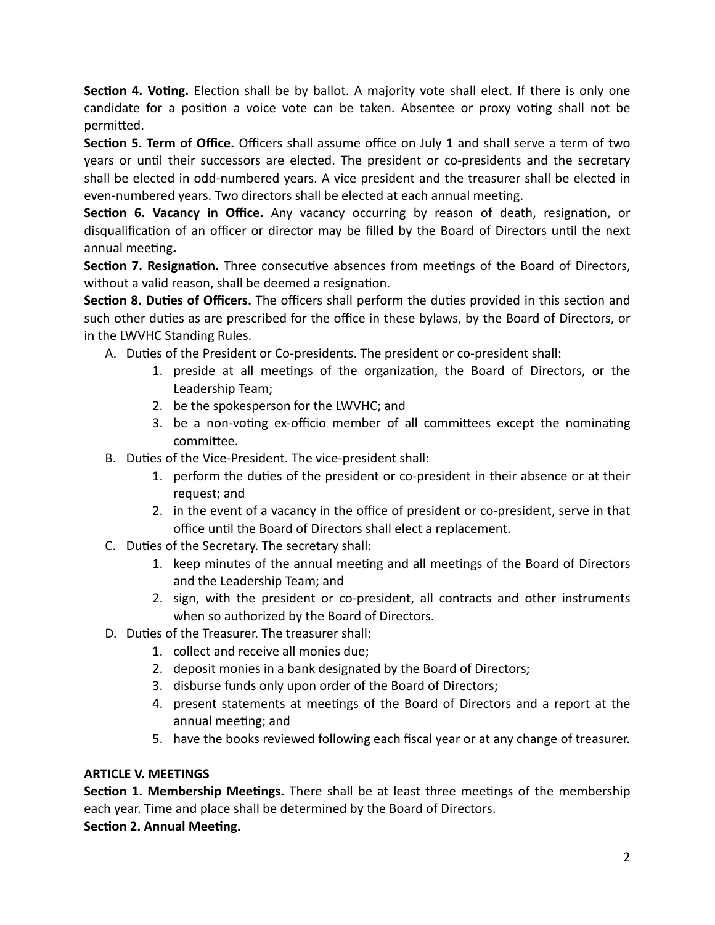**Section 4. Voting.** Election shall be by ballot. A majority vote shall elect. If there is only one candidate for a position a voice vote can be taken. Absentee or proxy voting shall not be permitted.

**Section 5. Term of Office.** Officers shall assume office on July 1 and shall serve a term of two years or until their successors are elected. The president or co-presidents and the secretary shall be elected in odd-numbered years. A vice president and the treasurer shall be elected in even-numbered years. Two directors shall be elected at each annual meeting.

Section 6. Vacancy in Office. Any vacancy occurring by reason of death, resignation, or disqualification of an officer or director may be filled by the Board of Directors until the next annual meeting.

**Section 7. Resignation.** Three consecutive absences from meetings of the Board of Directors, without a valid reason, shall be deemed a resignation.

**Section 8. Duties of Officers.** The officers shall perform the duties provided in this section and such other duties as are prescribed for the office in these bylaws, by the Board of Directors, or in the LWVHC Standing Rules.

- A. Duties of the President or Co-presidents. The president or co-president shall:
	- 1. preside at all meetings of the organization, the Board of Directors, or the Leadership Team;
	- 2. be the spokesperson for the LWVHC; and
	- 3. be a non-voting ex-officio member of all committees except the nominating committee.
- B. Duties of the Vice-President. The vice-president shall:
	- 1. perform the duties of the president or co-president in their absence or at their request; and
	- 2. in the event of a vacancy in the office of president or co-president, serve in that office until the Board of Directors shall elect a replacement.
- C. Duties of the Secretary. The secretary shall:
	- 1. keep minutes of the annual meeting and all meetings of the Board of Directors and the Leadership Team; and
	- 2. sign, with the president or co-president, all contracts and other instruments when so authorized by the Board of Directors.
- D. Duties of the Treasurer. The treasurer shall:
	- 1. collect and receive all monies due;
	- 2. deposit monies in a bank designated by the Board of Directors;
	- 3. disburse funds only upon order of the Board of Directors;
	- 4. present statements at meetings of the Board of Directors and a report at the annual meeting; and
	- 5. have the books reviewed following each fiscal year or at any change of treasurer.

## **ARTICLE V. MEETINGS**

**Section 1. Membership Meetings.** There shall be at least three meetings of the membership each year. Time and place shall be determined by the Board of Directors.

**Section 2. Annual Meeting.**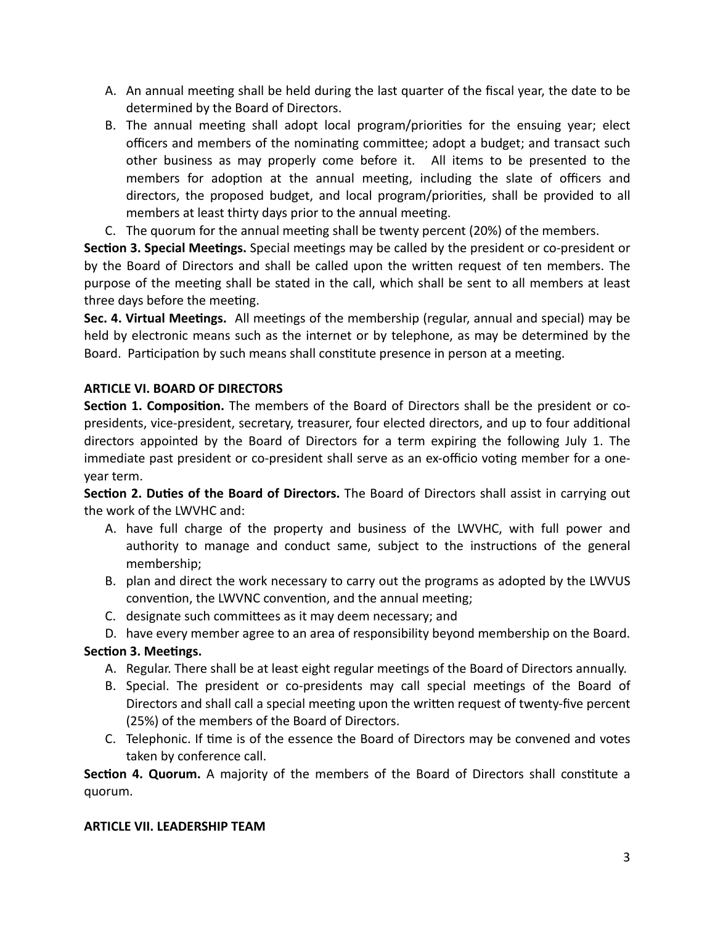- A. An annual meeting shall be held during the last quarter of the fiscal year, the date to be determined by the Board of Directors.
- B. The annual meeting shall adopt local program/priorities for the ensuing year; elect officers and members of the nominating committee; adopt a budget; and transact such other business as may properly come before it. All items to be presented to the members for adoption at the annual meeting, including the slate of officers and directors, the proposed budget, and local program/priorities, shall be provided to all members at least thirty days prior to the annual meeting.
- C. The quorum for the annual meeting shall be twenty percent (20%) of the members.

**Section 3. Special Meetings.** Special meetings may be called by the president or co-president or by the Board of Directors and shall be called upon the written request of ten members. The purpose of the meeting shall be stated in the call, which shall be sent to all members at least three days before the meeting.

**Sec. 4. Virtual Meetings.** All meetings of the membership (regular, annual and special) may be held by electronic means such as the internet or by telephone, as may be determined by the Board. Participation by such means shall constitute presence in person at a meeting.

## **ARTICLE VI. BOARD OF DIRECTORS**

**Section 1. Composition.** The members of the Board of Directors shall be the president or copresidents, vice-president, secretary, treasurer, four elected directors, and up to four additional directors appointed by the Board of Directors for a term expiring the following July 1. The immediate past president or co-president shall serve as an ex-officio voting member for a oneyear term.

**Section 2. Duties of the Board of Directors.** The Board of Directors shall assist in carrying out the work of the LWVHC and:

- A. have full charge of the property and business of the LWVHC, with full power and authority to manage and conduct same, subject to the instructions of the general membership;
- B. plan and direct the work necessary to carry out the programs as adopted by the LWVUS convention, the LWVNC convention, and the annual meeting;
- C. designate such committees as it may deem necessary; and
- D. have every member agree to an area of responsibility beyond membership on the Board.

## **Section 3. Meetings.**

- A. Regular. There shall be at least eight regular meetings of the Board of Directors annually.
- B. Special. The president or co-presidents may call special meetings of the Board of Directors and shall call a special meeting upon the written request of twenty-five percent (25%) of the members of the Board of Directors.
- C. Telephonic. If time is of the essence the Board of Directors may be convened and votes taken by conference call.

**Section 4. Quorum.** A majority of the members of the Board of Directors shall constitute a quorum.

#### **ARTICLE VII. LEADERSHIP TEAM**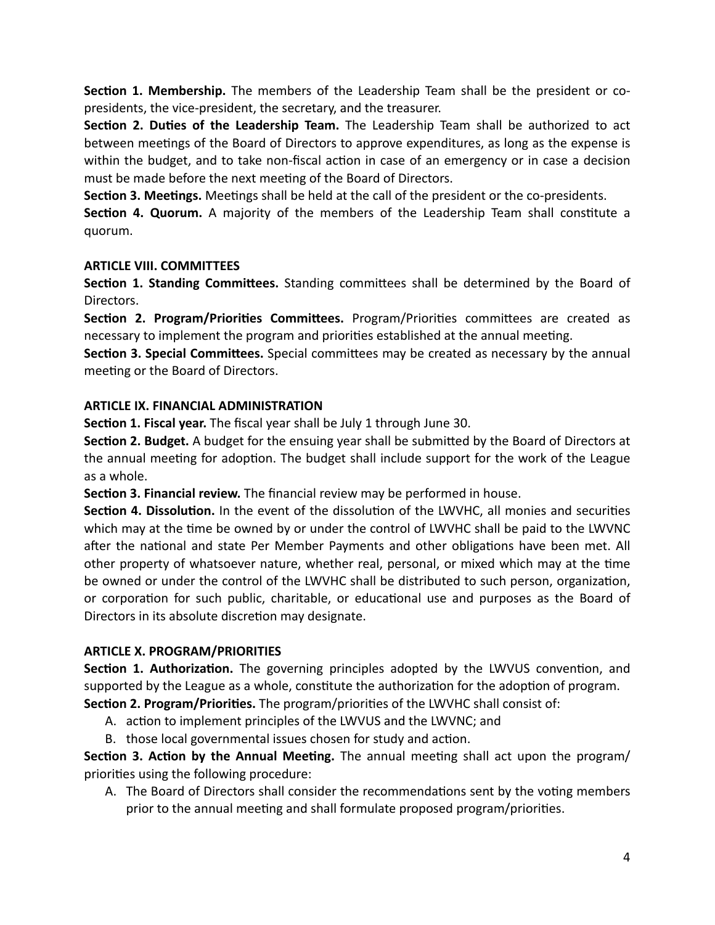**Section 1. Membership.** The members of the Leadership Team shall be the president or copresidents, the vice-president, the secretary, and the treasurer.

**Section 2. Duties of the Leadership Team.** The Leadership Team shall be authorized to act between meetings of the Board of Directors to approve expenditures, as long as the expense is within the budget, and to take non-fiscal action in case of an emergency or in case a decision must be made before the next meeting of the Board of Directors.

**Section 3. Meetings.** Meetings shall be held at the call of the president or the co-presidents.

**Section 4. Quorum.** A majority of the members of the Leadership Team shall constitute a quorum.

## **ARTICLE VIII. COMMITTEES**

**Section 1. Standing Committees.** Standing committees shall be determined by the Board of Directors.

**Section 2. Program/Priorities Committees.** Program/Priorities committees are created as necessary to implement the program and priorities established at the annual meeting.

**Section 3. Special Committees.** Special committees may be created as necessary by the annual meeting or the Board of Directors.

#### **ARTICLE IX. FINANCIAL ADMINISTRATION**

**Section 1. Fiscal year.** The fiscal year shall be July 1 through June 30.

**Section 2. Budget.** A budget for the ensuing year shall be submitted by the Board of Directors at the annual meeting for adoption. The budget shall include support for the work of the League as a whole.

**Section 3. Financial review.** The financial review may be performed in house.

**Section 4. Dissolution.** In the event of the dissolution of the LWVHC, all monies and securities which may at the time be owned by or under the control of LWVHC shall be paid to the LWVNC after the national and state Per Member Payments and other obligations have been met. All other property of whatsoever nature, whether real, personal, or mixed which may at the time be owned or under the control of the LWVHC shall be distributed to such person, organization, or corporation for such public, charitable, or educational use and purposes as the Board of Directors in its absolute discretion may designate.

#### **ARTICLE X. PROGRAM/PRIORITIES**

**Section 1. Authorization.** The governing principles adopted by the LWVUS convention, and supported by the League as a whole, constitute the authorization for the adoption of program. **Section 2. Program/Priorities.** The program/priorities of the LWVHC shall consist of:

- A. action to implement principles of the LWVUS and the LWVNC; and
- B. those local governmental issues chosen for study and action.

**Section 3. Action by the Annual Meeting.** The annual meeting shall act upon the program/ priorities using the following procedure:

A. The Board of Directors shall consider the recommendations sent by the voting members prior to the annual meeting and shall formulate proposed program/priorities.